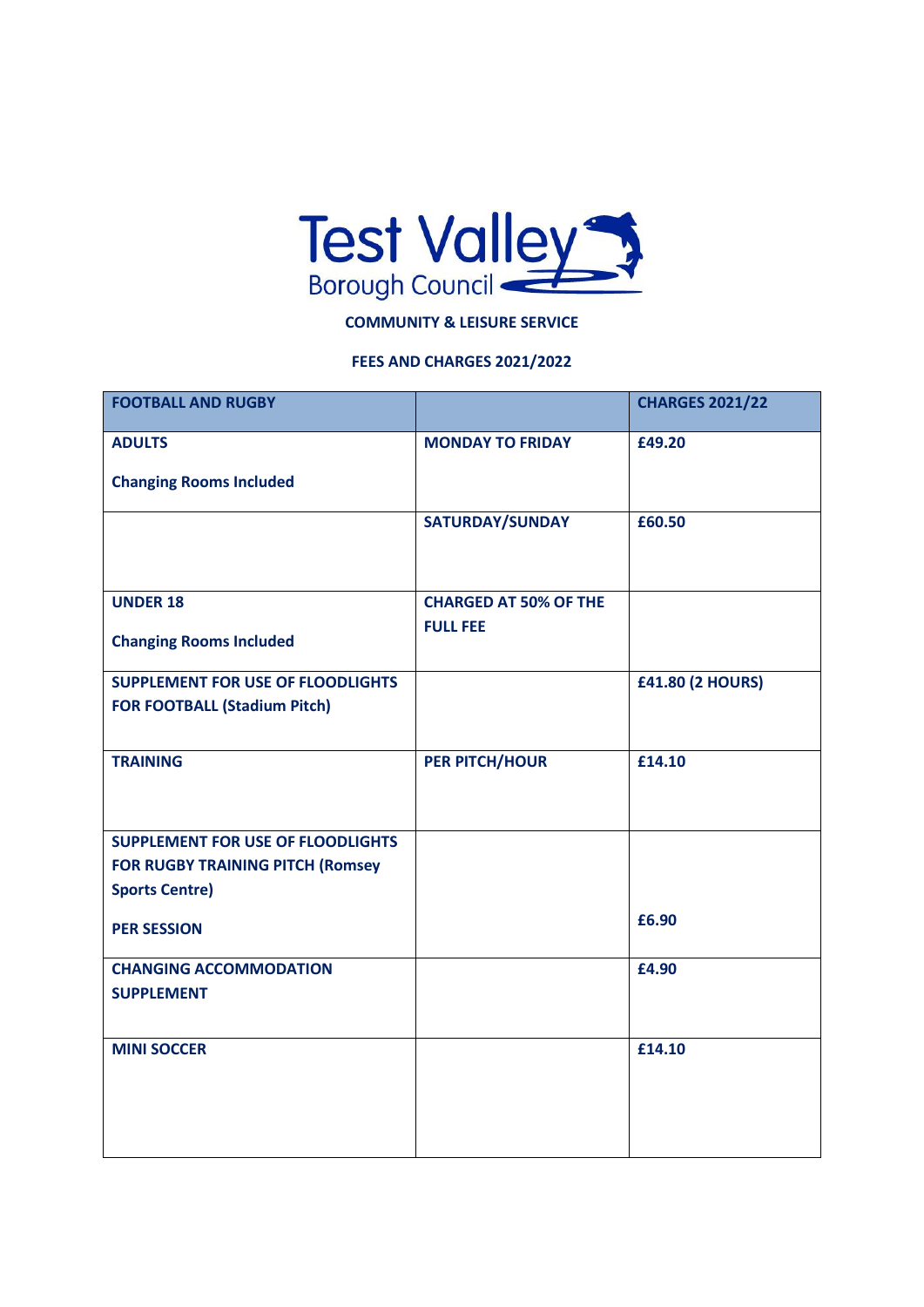

## **COMMUNITY & LEISURE SERVICE**

## **FEES AND CHARGES 2021/2022**

| <b>FOOTBALL AND RUGBY</b>                |                              | <b>CHARGES 2021/22</b>  |
|------------------------------------------|------------------------------|-------------------------|
| <b>ADULTS</b>                            | <b>MONDAY TO FRIDAY</b>      | £49.20                  |
| <b>Changing Rooms Included</b>           |                              |                         |
|                                          | SATURDAY/SUNDAY              | £60.50                  |
|                                          |                              |                         |
| <b>UNDER 18</b>                          | <b>CHARGED AT 50% OF THE</b> |                         |
| <b>Changing Rooms Included</b>           | <b>FULL FEE</b>              |                         |
| <b>SUPPLEMENT FOR USE OF FLOODLIGHTS</b> |                              | <b>£41.80 (2 HOURS)</b> |
| <b>FOR FOOTBALL (Stadium Pitch)</b>      |                              |                         |
| <b>TRAINING</b>                          | PER PITCH/HOUR               | £14.10                  |
|                                          |                              |                         |
| <b>SUPPLEMENT FOR USE OF FLOODLIGHTS</b> |                              |                         |
| <b>FOR RUGBY TRAINING PITCH (Romsey</b>  |                              |                         |
| <b>Sports Centre)</b>                    |                              |                         |
| <b>PER SESSION</b>                       |                              | £6.90                   |
| <b>CHANGING ACCOMMODATION</b>            |                              | £4.90                   |
| <b>SUPPLEMENT</b>                        |                              |                         |
|                                          |                              |                         |
| <b>MINI SOCCER</b>                       |                              | £14.10                  |
|                                          |                              |                         |
|                                          |                              |                         |
|                                          |                              |                         |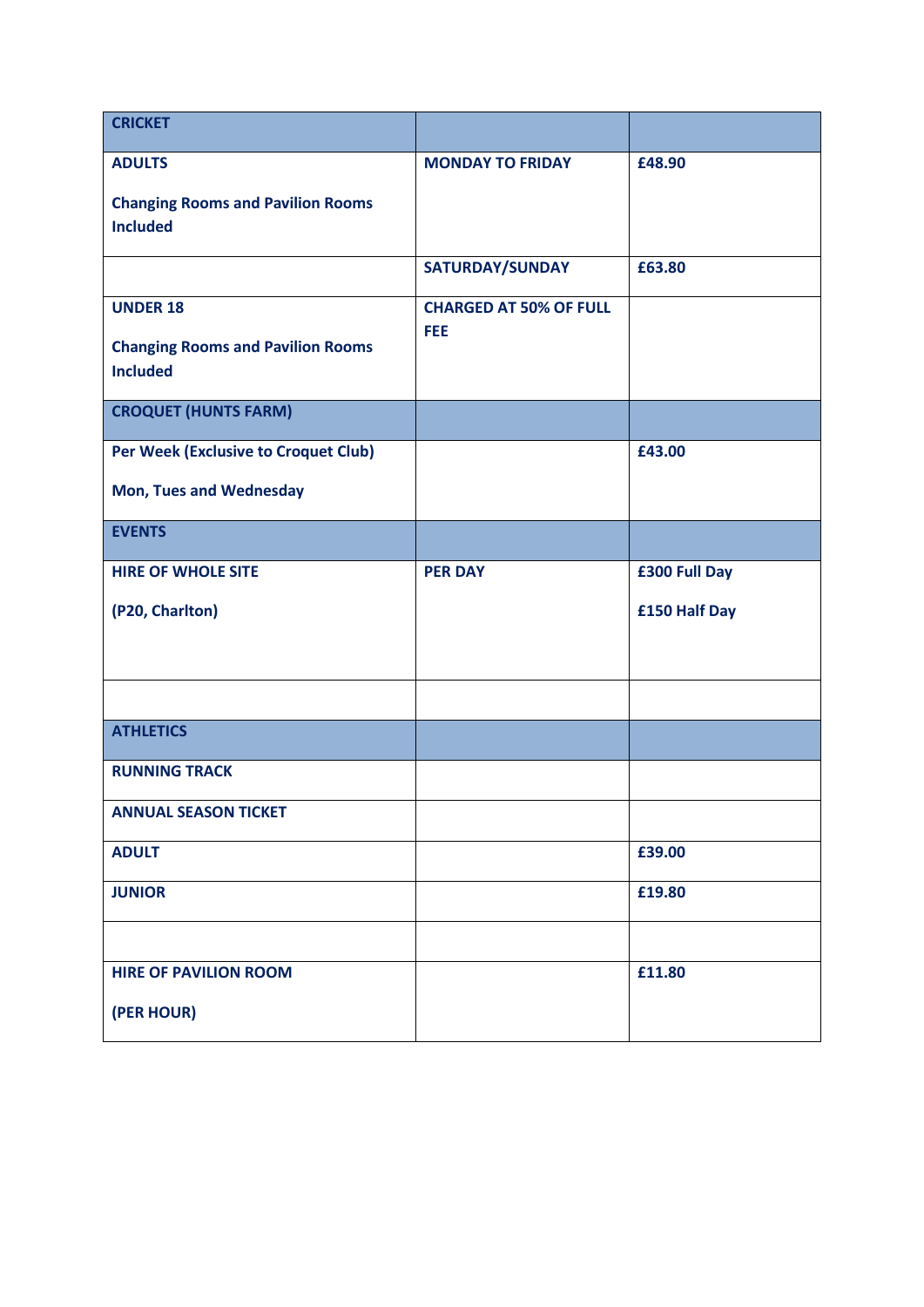| <b>CRICKET</b>                                                                 |                                      |               |
|--------------------------------------------------------------------------------|--------------------------------------|---------------|
| <b>ADULTS</b>                                                                  | <b>MONDAY TO FRIDAY</b>              | £48.90        |
| <b>Changing Rooms and Pavilion Rooms</b><br><b>Included</b>                    |                                      |               |
|                                                                                | SATURDAY/SUNDAY                      | £63.80        |
| <b>UNDER 18</b><br><b>Changing Rooms and Pavilion Rooms</b><br><b>Included</b> | <b>CHARGED AT 50% OF FULL</b><br>FEE |               |
| <b>CROQUET (HUNTS FARM)</b>                                                    |                                      |               |
| Per Week (Exclusive to Croquet Club)<br><b>Mon, Tues and Wednesday</b>         |                                      | £43.00        |
| <b>EVENTS</b>                                                                  |                                      |               |
| <b>HIRE OF WHOLE SITE</b>                                                      | <b>PER DAY</b>                       | £300 Full Day |
| (P20, Charlton)                                                                |                                      | £150 Half Day |
|                                                                                |                                      |               |
| <b>ATHLETICS</b>                                                               |                                      |               |
| <b>RUNNING TRACK</b>                                                           |                                      |               |
| <b>ANNUAL SEASON TICKET</b>                                                    |                                      |               |
| <b>ADULT</b>                                                                   |                                      | £39.00        |
| <b>JUNIOR</b>                                                                  |                                      | £19.80        |
| <b>HIRE OF PAVILION ROOM</b>                                                   |                                      | £11.80        |
| (PER HOUR)                                                                     |                                      |               |